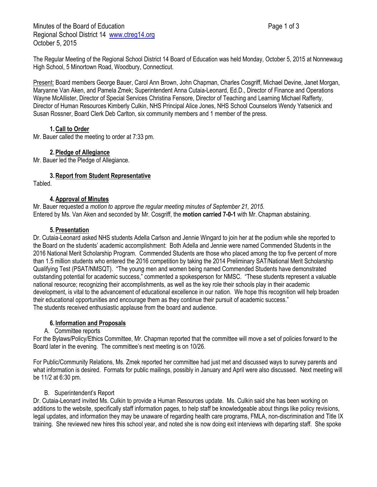Minutes of the Board of Education **Page 1 of 3** Page 1 of 3 Regional School District 14 [www.ctreg14.org](http://www.ctreg14.org/) October 5, 2015

The Regular Meeting of the Regional School District 14 Board of Education was held Monday, October 5, 2015 at Nonnewaug High School, 5 Minortown Road, Woodbury, Connecticut.

Present: Board members George Bauer, Carol Ann Brown, John Chapman, Charles Cosgriff, Michael Devine, Janet Morgan, Maryanne Van Aken, and Pamela Zmek; Superintendent Anna Cutaia-Leonard, Ed.D., Director of Finance and Operations Wayne McAllister, Director of Special Services Christina Fensore, Director of Teaching and Learning Michael Rafferty, Director of Human Resources Kimberly Culkin, NHS Principal Alice Jones, NHS School Counselors Wendy Yatsenick and Susan Rossner, Board Clerk Deb Carlton, six community members and 1 member of the press.

# **1.Call to Order**

Mr. Bauer called the meeting to order at 7:33 pm.

### **2.Pledge of Allegiance**

Mr. Bauer led the Pledge of Allegiance.

### **3.Report from Student Representative**

Tabled.

### **4.Approval of Minutes**

Mr. Bauer requested a *motion to approve the regular meeting minutes of September 21, 2015.* Entered by Ms. Van Aken and seconded by Mr. Cosgriff, the **motion carried 7-0-1** with Mr. Chapman abstaining.

### **5.Presentation**

Dr. Cutaia-Leonard asked NHS students Adella Carlson and Jennie Wingard to join her at the podium while she reported to the Board on the students' academic accomplishment: Both Adella and Jennie were named Commended Students in the 2016 National Merit Scholarship Program. Commended Students are those who placed among the top five percent of more than 1.5 million students who entered the 2016 competition by taking the 2014 Preliminary SAT/National Merit Scholarship Qualifying Test (PSAT/NMSQT). "The young men and women being named Commended Students have demonstrated outstanding potential for academic success," commented a spokesperson for NMSC. "These students represent a valuable national resource; recognizing their accomplishments, as well as the key role their schools play in their academic development, is vital to the advancement of educational excellence in our nation. We hope this recognition will help broaden their educational opportunities and encourage them as they continue their pursuit of academic success." The students received enthusiastic applause from the board and audience.

### **6. Information and Proposals**

### A. Committee reports

For the Bylaws/Policy/Ethics Committee, Mr. Chapman reported that the committee will move a set of policies forward to the Board later in the evening. The committee's next meeting is on 10/26.

For Public/Community Relations, Ms. Zmek reported her committee had just met and discussed ways to survey parents and what information is desired. Formats for public mailings, possibly in January and April were also discussed. Next meeting will be 11/2 at 6:30 pm.

### B. Superintendent's Report

Dr. Cutaia-Leonard invited Ms. Culkin to provide a Human Resources update. Ms. Culkin said she has been working on additions to the website, specifically staff information pages, to help staff be knowledgeable about things like policy revisions, legal updates, and information they may be unaware of regarding health care programs, FMLA, non-discrimination and Title IX training. She reviewed new hires this school year, and noted she is now doing exit interviews with departing staff. She spoke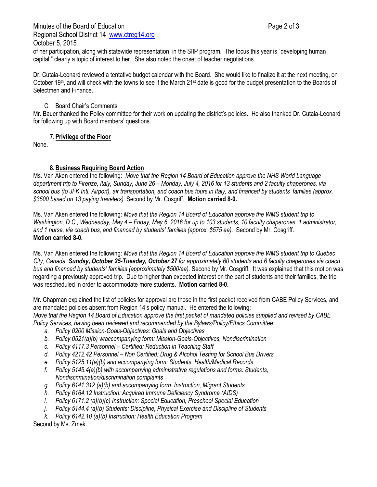Minutes of the Board of Education **Page 2 of 3** and 2 of 3 Regional School District 14 [www.ctreg14.org](http://www.ctreg14.org/) October 5, 2015

of her participation, along with statewide representation, in the SIIP program. The focus this year is "developing human capital," clearly a topic of interest to her. She also noted the onset of teacher negotiations.

Dr. Cutaia-Leonard reviewed a tentative budget calendar with the Board. She would like to finalize it at the next meeting, on October 19<sup>th</sup>, and will check with the towns to see if the March 21<sup>st</sup> date is good for the budget presentation to the Boards of Selectmen and Finance.

## C. Board Chair's Comments

Mr. Bauer thanked the Policy committee for their work on updating the district's policies. He also thanked Dr. Cutaia-Leonard for following up with Board members' questions.

# **7.Privilege of the Floor**

None.

# **8.Business Requiring Board Action**

Ms. Van Aken entered the following: *Move that the Region 14 Board of Education approve the NHS World Language department trip to Firenze, Italy, Sunday, June 26 – Monday, July 4, 2016 for 13 students and 2 faculty chaperones, via school bus (to JFK Intl. Airport), air transportation, and coach bus tours in Italy, and financed by students' families (approx. \$3500 based on 13 paying travelers).* Second by Mr. Cosgriff. **Motion carried 8-0.**

Ms. Van Aken entered the following: *Move that the Region 14 Board of Education approve the WMS student trip to Washington, D.C., Wednesday, May 4 – Friday, May 6, 2016 for up to 103 students, 10 faculty chaperones, 1 administrator, and 1 nurse, via coach bus, and financed by students' families (approx. \$575 ea).* Second by Mr. Cosgriff. **Motion carried 8-0.**

Ms. Van Aken entered the following: *Move that the Region 14 Board of Education approve the WMS student trip to Quebec City, Canada, Sunday, October 25-Tuesday, October 27 for approximately 60 students and 6 faculty chaperones via coach bus and financed by students' families (approximately \$500/ea).* Second by Mr. Cosgriff. It was explained that this motion was regarding a previously approved trip. Due to higher than expected interest on the part of students and their families, the trip was rescheduled in order to accommodate more students. **Motion carried 8-0.**

Mr. Chapman explained the list of policies for approval are those in the first packet received from CABE Policy Services, and are mandated policies absent from Region 14's policy manual. He entered the following:

*Move that the Region 14 Board of Education approve the first packet of mandated policies supplied and revised by CABE Policy Services, having been reviewed and recommended by the Bylaws/Policy/Ethics Committee:* 

- *a. Policy 0200 Mission-Goals-Objectives: Goals and Objectives*
- *b. Policy 0521(a)(b) w/accompanying form: Mission-Goals-Objectives, Nondiscrimination*
- *c. Policy 4117.3 Personnel – Certified: Reduction in Teaching Staff*
- *d. Policy 4212.42 Personnel – Non Certified: Drug & Alcohol Testing for School Bus Drivers*
- *e. Policy 5125.11(a)(b) and accompanying form: Students, Health/Medical Records*
- *f. Policy 5145.4(a)(b) with accompanying administrative regulations and forms: Students, Nondiscrimination/discrimination complaints*
- *g. Policy 6141.312 (a)(b) and accompanying form: Instruction, Migrant Students*
- *h. Policy 6164.12 Instruction: Acquired Immune Deficiency Syndrome (AIDS)*
- *i. Policy 6171.2 (a)(b)(c) Instruction: Special Education, Preschool Special Education*
- *j. Policy 5144.4 (a)(b) Students: Discipline, Physical Exercise and Discipline of Students*
- *k. Policy 6142.10 (a)(b) Instruction: Health Education Program*

Second by Ms. Zmek.